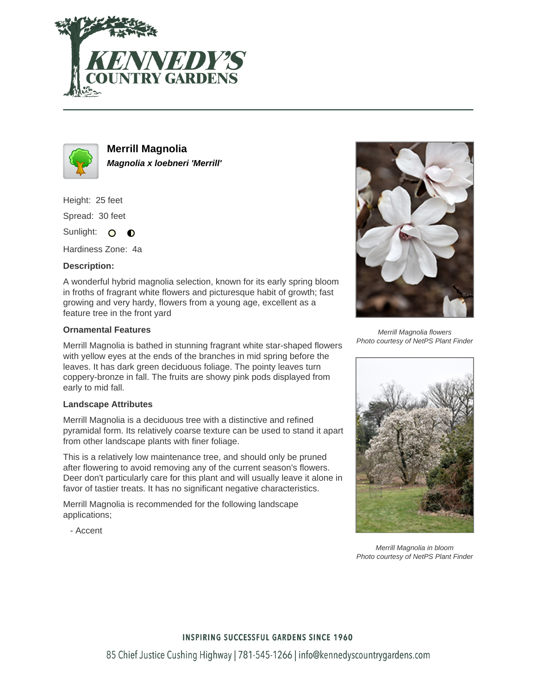



**Merrill Magnolia Magnolia x loebneri 'Merrill'**

Height: 25 feet Spread: 30 feet

Sunlight: O  $\bullet$ 

Hardiness Zone: 4a

## **Description:**

A wonderful hybrid magnolia selection, known for its early spring bloom in froths of fragrant white flowers and picturesque habit of growth; fast growing and very hardy, flowers from a young age, excellent as a feature tree in the front yard

## **Ornamental Features**

Merrill Magnolia is bathed in stunning fragrant white star-shaped flowers with yellow eyes at the ends of the branches in mid spring before the leaves. It has dark green deciduous foliage. The pointy leaves turn coppery-bronze in fall. The fruits are showy pink pods displayed from early to mid fall.

## **Landscape Attributes**

Merrill Magnolia is a deciduous tree with a distinctive and refined pyramidal form. Its relatively coarse texture can be used to stand it apart from other landscape plants with finer foliage.

This is a relatively low maintenance tree, and should only be pruned after flowering to avoid removing any of the current season's flowers. Deer don't particularly care for this plant and will usually leave it alone in favor of tastier treats. It has no significant negative characteristics.

Merrill Magnolia is recommended for the following landscape applications;

- Accent



Merrill Magnolia flowers Photo courtesy of NetPS Plant Finder



Merrill Magnolia in bloom Photo courtesy of NetPS Plant Finder